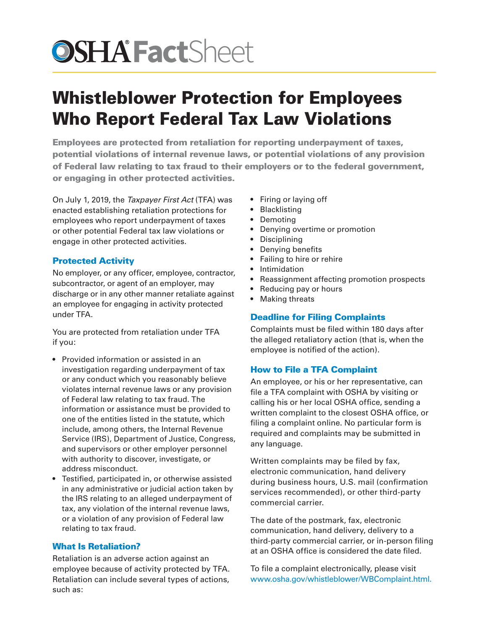# **OSHA FactSheet**

## Whistleblower Protection for Employees Who Report Federal Tax Law Violations

Employees are protected from retaliation for reporting underpayment of taxes, potential violations of internal revenue laws, or potential violations of any provision of Federal law relating to tax fraud to their employers or to the federal government, or engaging in other protected activities.

On July 1, 2019, the *Taxpayer First Act* (TFA) was enacted establishing retaliation protections for employees who report underpayment of taxes or other potential Federal tax law violations or engage in other protected activities.

### Protected Activity

No employer, or any officer, employee, contractor, subcontractor, or agent of an employer, may discharge or in any other manner retaliate against an employee for engaging in activity protected under TFA.

You are protected from retaliation under TFA if you:

- Provided information or assisted in an investigation regarding underpayment of tax or any conduct which you reasonably believe violates internal revenue laws or any provision of Federal law relating to tax fraud. The information or assistance must be provided to one of the entities listed in the statute, which include, among others, the Internal Revenue Service (IRS), Department of Justice, Congress, and supervisors or other employer personnel with authority to discover, investigate, or address misconduct.
- Testified, participated in, or otherwise assisted in any administrative or judicial action taken by the IRS relating to an alleged underpayment of tax, any violation of the internal revenue laws, or a violation of any provision of Federal law relating to tax fraud.

#### What Is Retaliation?

Retaliation is an adverse action against an employee because of activity protected by TFA. Retaliation can include several types of actions, such as:

- Firing or laying off
- Blacklisting
- Demoting
- Denying overtime or promotion
- Disciplining
- Denying benefits
- Failing to hire or rehire
- Intimidation
- Reassignment affecting promotion prospects
- Reducing pay or hours
- **Making threats**

#### Deadline for Filing Complaints

Complaints must be filed within 180 days after the alleged retaliatory action (that is, when the employee is notified of the action).

#### How to File a TFA Complaint

An employee, or his or her representative, can file a TFA complaint with OSHA by visiting or calling his or her local OSHA office, sending a written complaint to the closest OSHA office, or filing a complaint online. No particular form is required and complaints may be submitted in any language.

Written complaints may be filed by fax, electronic communication, hand delivery during business hours, U.S. mail (confirmation services recommended), or other third-party commercial carrier.

The date of the postmark, fax, electronic communication, hand delivery, delivery to a third-party commercial carrier, or in-person filing at an OSHA office is considered the date filed.

To file a complaint electronically, please visit [www.osha.gov/whistleblower/WBComplaint.html](https://www.osha.gov/whistleblower/WBComplaint.html).